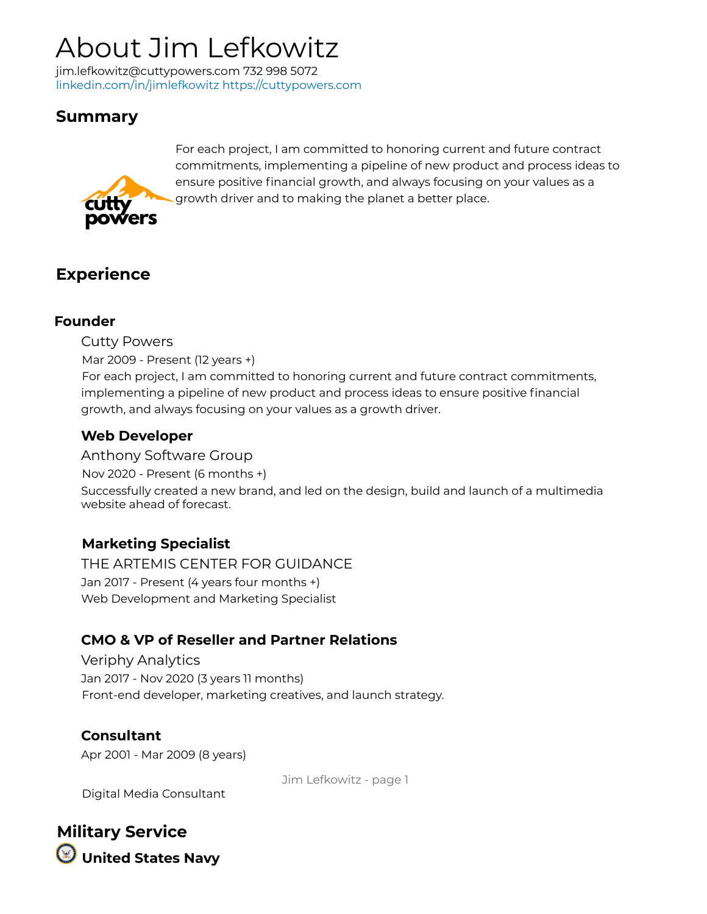# About Jim Lefkowitz

jim.lefkowitz@cuttypowers.com 732 998 5072 linkedin.com/in/jimlefkowitz https://cuttypowers.com

# **Summary**



For each project, I am committed to honoring current and future contract commitments, implementing a pipeline of new product and process ideas to ensure positive financial growth, and always focusing on your values as a growth driver and to making the planet a better place.

## **Experience**

#### **Founder**

Cutty Powers

Mar 2009 - Present (12 years +)

For each project, I am committed to honoring current and future contract commitments, implementing a pipeline of new product and process ideas to ensure positive financial growth, and always focusing on your values as a growth driver.

### **Web Developer**

Anthony Software Group

Nov 2020 - Present (6 months +)

Successfully created a new brand, and led on the design, build and launch of a multimedia website ahead of forecast.

### **Marketing Specialist**

THE ARTEMIS CENTER FOR GUIDANCE Jan 2017 - Present (4 years four months +) Web Development and Marketing Specialist

### **CMO & VP of Reseller and Partner Relations**

Veriphy Analytics Jan 2017 - Nov 2020 (3 years 11 months) Front-end developer, marketing creatives, and launch strategy.

**Consultant** Apr 2001 - Mar 2009 (8 years)

Jim Lefkowitz - page 1

Digital Media Consultant

**Military Service United States Navy**